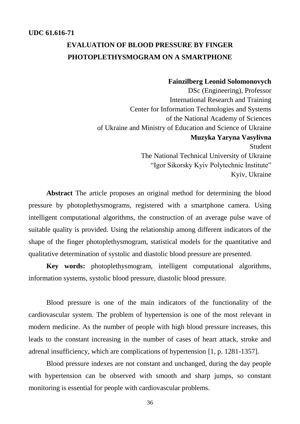## **EVALUATION OF BLOOD PRESSURE BY FINGER PHOTOPLETHYSMOGRAM ON A SMARTPHONE**

## **Fainzilberg Leonid Solomonovych**

DSc (Engineering), Professor International Research and Training Center for Information Technologies and Systems of the National Academy of Sciences of Ukraine and Ministry of Education and Science of Ukraine **Muzyka Yaryna Vasylivna** Student The National Technical University of Ukraine "Igor Sikorsky Kyiv Polytechnic Institute" Kyiv, Ukraine

**Abstract** The article proposes an original method for determining the blood pressure by photoplethysmograms, registered with a smartphone camera. Using intelligent computational algorithms, the construction of an average pulse wave of suitable quality is provided. Using the relationship among different indicators of the shape of the finger photoplethysmogram, statistical models for the quantitative and qualitative determination of systolic and diastolic blood pressure are presented.

**Key words:** photoplethysmogram, intelligent computational algorithms, information systems, systolic blood pressure, diastolic blood pressure.

Blood pressure is one of the main indicators of the functionality of the cardiovascular system. The problem of hypertension is one of the most relevant in modern medicine. As the number of people with high blood pressure increases, this leads to the constant increasing in the number of cases of heart attack, stroke and adrenal insufficiency, which are complications of hypertension [1, p. 1281-1357].

Blood pressure indexes are not constant and unchanged, during the day people with hypertension can be observed with smooth and sharp jumps, so constant monitoring is essential for people with cardiovascular problems.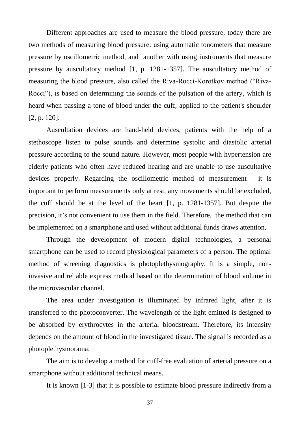Different approaches are used to measure the blood pressure, today there are two methods of measuring blood pressure: using automatic tonometers that measure pressure by oscillometric method, and another with using instruments that measure pressure by auscultatory method [1, p. 1281-1357]. The auscultatory method of measuring the blood pressure, also called the Riva-Rocci-Korotkov method ("Riva-Rocci"), is based on determining the sounds of the pulsation of the artery, which is heard when passing a tone of blood under the cuff, applied to the patient's shoulder [2, p. 120].

Auscultation devices are hand-held devices, patients with the help of a stethoscope listen to pulse sounds and determine systolic and diastolic arterial pressure according to the sound nature. However, most people with hypertension are elderly patients who often have reduced hearing and are unable to use auscultative devices properly. Regarding the oscillometric method of measurement - it is important to perform measurements only at rest, any movements should be excluded, the cuff should be at the level of the heart [1, p. 1281-1357]. But despite the precision, it's not convenient to use them in the field. Therefore, the method that can be implemented on a smartphone and used without additional funds draws attention.

Through the development of modern digital technologies, a personal smartphone can be used to record physiological parameters of a person. The optimal method of screening diagnostics is photoplethysmography. It is a simple, noninvasive and reliable express method based on the determination of blood volume in the microvascular channel.

The area under investigation is illuminated by infrared light, after it is transferred to the photoconverter. The wavelength of the light emitted is designed to be absorbed by erythrocytes in the arterial bloodstream. Therefore, its intensity depends on the amount of blood in the investigated tissue. The signal is recorded as a photoplethysmorama.

The aim is to develop a method for cuff-free evaluation of arterial pressure on a smartphone without additional technical means.

It is known [1-3] that it is possible to estimate blood pressure indirectly from a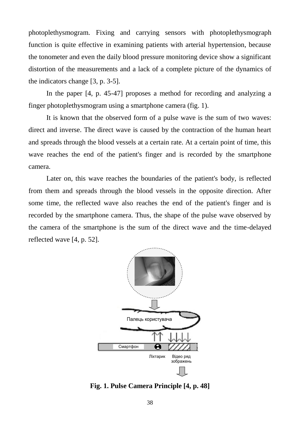photoplethysmogram. Fixing and carrying sensors with photoplethysmograph function is quite effective in examining patients with arterial hypertension, because the tonometer and even the daily blood pressure monitoring device show a significant distortion of the measurements and a lack of a complete picture of the dynamics of the indicators change [3, p. 3-5].

In the paper [4, p. 45-47] proposes a method for recording and analyzing a finger photoplethysmogram using a smartphone camera (fig. 1).

It is known that the observed form of a pulse wave is the sum of two waves: direct and inverse. The direct wave is caused by the contraction of the human heart and spreads through the blood vessels at a certain rate. At a certain point of time, this wave reaches the end of the patient's finger and is recorded by the smartphone camera.

Later on, this wave reaches the boundaries of the patient's body, is reflected from them and spreads through the blood vessels in the opposite direction. After some time, the reflected wave also reaches the end of the patient's finger and is recorded by the smartphone camera. Thus, the shape of the pulse wave observed by the camera of the smartphone is the sum of the direct wave and the time-delayed reflected wave [4, p. 52].



**Fig. 1. Pulse Camera Principle [4, p. 48]**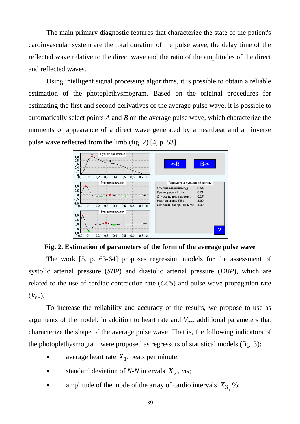The main primary diagnostic features that characterize the state of the patient's cardiovascular system are the total duration of the pulse wave, the delay time of the reflected wave relative to the direct wave and the ratio of the amplitudes of the direct and reflected waves.

Using intelligent signal processing algorithms, it is possible to obtain a reliable estimation of the photoplethysmogram. Based on the original procedures for estimating the first and second derivatives of the average pulse wave, it is possible to automatically select points *A* and *B* on the average pulse wave, which characterize the moments of appearance of a direct wave generated by a heartbeat and an inverse pulse wave reflected from the limb (fig. 2) [4, p. 53].



**Fig. 2. Estimation of parameters of the form of the average pulse wave**

The work [5, p. 63-64] proposes regression models for the assessment of systolic arterial pressure (*SBP*) and diastolic arterial pressure (*DBP*), which are related to the use of cardiac contraction rate (*CCS*) and pulse wave propagation rate  $(V_{pw})$ .

To increase the reliability and accuracy of the results, we propose to use as arguments of the model, in addition to heart rate and *Vpw*, additional parameters that characterize the shape of the average pulse wave. That is, the following indicators of the photoplethysmogram were proposed as regressors of statistical models (fig. 3):

- average heart rate  $X_1$ , beats per minute;
- standard deviation of *N-N* intervals  $X_2$ , *ms*;
- amplitude of the mode of the array of cardio intervals  $X_3$ , %;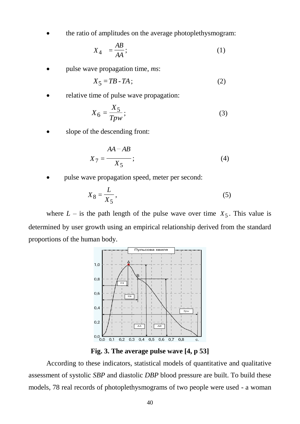the ratio of amplitudes on the average photoplethysmogram:

$$
X_4 = \frac{AB}{AA};\tag{1}
$$

pulse wave propagation time, *ms*:

$$
X_5 = TB - TA \tag{2}
$$

relative time of pulse wave propagation:

$$
X_6 = \frac{X_5}{Tpw};\tag{3}
$$

slope of the descending front:

$$
X_7 = \frac{AA - AB}{X_5};\tag{4}
$$

pulse wave propagation speed, meter per second:

$$
X_8 = \frac{L}{X_5},\tag{5}
$$

where  $L -$  is the path length of the pulse wave over time  $X_5$ . This value is determined by user growth using an empirical relationship derived from the standard proportions of the human body.



**Fig. 3. The average pulse wave [4, p 53]**

According to these indicators, statistical models of quantitative and qualitative assessment of systolic *SBP* and diastolic *DBP* blood pressure are built. To build these models, 78 real records of photoplethysmograms of two people were used - a woman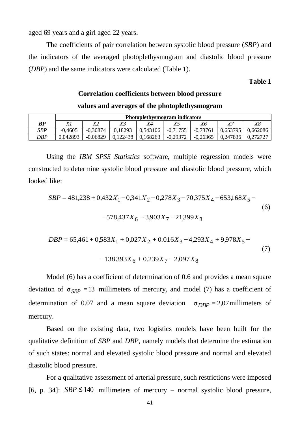aged 69 years and a girl aged 22 years.

The coefficients of pair correlation between systolic blood pressure (*SBP*) and the indicators of the averaged photoplethysmogram and diastolic blood pressure (*DBP*) and the same indicators were calculated (Table 1).

**Table 1** 

## **Correlation coefficients between blood pressure values and averages of the photoplethysmogram**

|     | <b>Photoplethysmogram indicators</b> |            |          |          |            |            |          |          |
|-----|--------------------------------------|------------|----------|----------|------------|------------|----------|----------|
| BP  | Χl                                   |            |          |          |            | Χ6         |          | Xδ       |
| SBP | $-0,4605$                            | $-0.30874$ | 0,18293  | 0,543106 | $-0,71755$ | $-0,73761$ | 0,653795 | 0,662086 |
| DBP | 0,042893                             | $-0.06829$ | 0,122438 | 0,168263 | $-0,29372$ | $-0.26365$ | 0,247836 | 0.272727 |

Using the *IBM SPSS Statistics* software, multiple regression models were constructed to determine systolic blood pressure and diastolic blood pressure, which looked like:

$$
SBP = 481,238 + 0,432X1 - 0,341X2 - 0,278X3 - 70,375X4 - 653,168X5 - 6
$$
  
-578,437X<sub>6</sub> + 3,903X<sub>7</sub> - 21,399X<sub>8</sub> (6)

$$
DBP = 65,461 + 0,583X_1 + 0,027X_2 + 0.016X_3 - 4,293X_4 + 9,978X_5 -
$$
  
-138,393X<sub>6</sub> + 0,239X<sub>7</sub> - 2,097X<sub>8</sub> (7)

Model (6) has a coefficient of determination of 0.6 and provides a mean square deviation of  $\sigma_{SBP} = 13$  millimeters of mercury, and model (7) has a coefficient of determination of 0.07 and a mean square deviation  $\sigma_{DBP} = 2.07$  millimeters of mercury.

Based on the existing data, two logistics models have been built for the qualitative definition of *SBP* and *DBP*, namely models that determine the estimation of such states: normal and elevated systolic blood pressure and normal and elevated diastolic blood pressure.

For a qualitative assessment of arterial pressure, such restrictions were imposed [6, p. 34]:  $SBP \le 140$  millimeters of mercury – normal systolic blood pressure,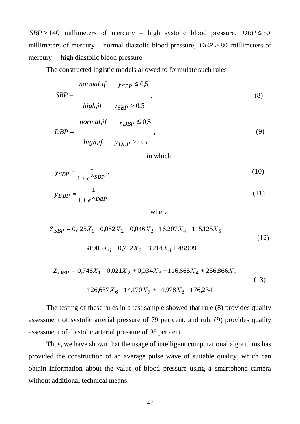$SBP > 140$  millimeters of mercury – high systolic blood pressure,  $DBP \le 80$ millimeters of mercury – normal diastolic blood pressure, *DBP* > 80 millimeters of mercury – high diastolic blood pressure.

The constructed logistic models allowed to formulate such rules:

$$
SBP > 140
$$
 millimeters of mercury – high systolic blood pressure,  $DBP > 80$  millimeters of mercury – normal diastolic blood pressure,  $DBP > 80$  millimeters  
mercury – high diastolic blood pressure.  
The constructed logistic models allowed to formulate such rules:  
*normal*,  $f = y_{SBP} \le 0.5$   
 $SBP =$   
*high*,  $g_{SBP} > 0.5$   
*normal*,  $g_{SBP} > 0.5$   
 $DBP =$   
*high*,  $g_{SBP} > 0.5$   
 $DBP =$   
*high*,  $g_{SBP} > 0.5$   
 $g_{SBP} = \frac{1}{1 + e^{ZSBP}}$ ,  
 $g_{BBP} = \frac{1}{1 + e^{ZDBP}}$ ,  
 $g_{BBP} = 0.125X_1 - 0.052X_2 - 0.046X_3 - 16.207X_4 - 115.125X_5 - 0.58905X_6 + 0.712X_7 - 3.214X_8 + 48.999$   
 $g_{DBP} = 0.745X_1 - 0.021X_2 + 0.034X_3 + 116.665X_4 + 256.866X_5 - 0.126.637X_6 - 14.170X_7 + 14.978X_8 - 176.234$   
The testing of these rules in a test sample showed that rule (8) provides qual assessment of systolic arterial pressure of 79 per cent, and rule (9) provides qual assessment of diastolic aterial pressure of 79 per cent. Thus, we have shown that the usage of intelligent computational algorithms provide the construction of an average pulse wave of suitable quality, which obtained the construction of an average pulse wave of suitable quality, which obtained technical means.  
 $42$ 

in which

$$
y_{SBP} = \frac{1}{1 + e^{ZSBP}},\tag{10}
$$

$$
y_{DBP} = \frac{1}{1 + e^Z DBP},\tag{11}
$$

where

$$
Z_{SBP} = 0,125X_1 - 0,052X_2 - 0,046X_3 - 16,207X_4 - 115,125X_5 -
$$
  
-58,905X<sub>6</sub> + 0,712X<sub>7</sub> - 3,214X<sub>8</sub> + 48,999 (12)

$$
Z_{DBP} = 0,745X_1 - 0,021X_2 + 0,034X_3 + 116,665X_4 + 256,866X_5 - 126,637X_6 - 14,170X_7 + 14,978X_8 - 176,234
$$
\n(13)

The testing of these rules in a test sample showed that rule (8) provides quality assessment of systolic arterial pressure of 79 per cent, and rule (9) provides quality assessment of diastolic arterial pressure of 95 per cent.

Thus, we have shown that the usage of intelligent computational algorithms has provided the construction of an average pulse wave of suitable quality, which can obtain information about the value of blood pressure using a smartphone camera without additional technical means.